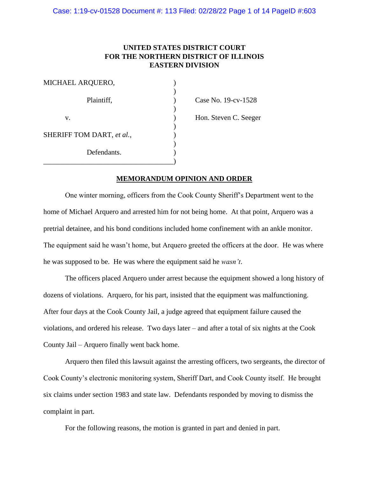# **UNITED STATES DISTRICT COURT FOR THE NORTHERN DISTRICT OF ILLINOIS EASTERN DIVISION**

| MICHAEL ARQUERO,          |  |
|---------------------------|--|
| Plaintiff,                |  |
| v.                        |  |
| SHERIFF TOM DART, et al., |  |
| Defendants.               |  |
|                           |  |

Case No. 19-cv-1528 Hon. Steven C. Seeger

## **MEMORANDUM OPINION AND ORDER**

One winter morning, officers from the Cook County Sheriff's Department went to the home of Michael Arquero and arrested him for not being home. At that point, Arquero was a pretrial detainee, and his bond conditions included home confinement with an ankle monitor. The equipment said he wasn't home, but Arquero greeted the officers at the door. He was where he was supposed to be. He was where the equipment said he *wasn't*.

The officers placed Arquero under arrest because the equipment showed a long history of dozens of violations. Arquero, for his part, insisted that the equipment was malfunctioning. After four days at the Cook County Jail, a judge agreed that equipment failure caused the violations, and ordered his release. Two days later – and after a total of six nights at the Cook County Jail – Arquero finally went back home.

Arquero then filed this lawsuit against the arresting officers, two sergeants, the director of Cook County's electronic monitoring system, Sheriff Dart, and Cook County itself. He brought six claims under section 1983 and state law. Defendants responded by moving to dismiss the complaint in part.

For the following reasons, the motion is granted in part and denied in part.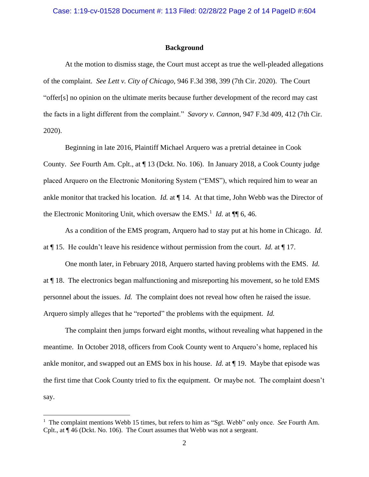#### **Background**

At the motion to dismiss stage, the Court must accept as true the well-pleaded allegations of the complaint. *See Lett v. City of Chicago*, 946 F.3d 398, 399 (7th Cir. 2020). The Court "offer[s] no opinion on the ultimate merits because further development of the record may cast the facts in a light different from the complaint." *Savory v. Cannon*, 947 F.3d 409, 412 (7th Cir. 2020).

Beginning in late 2016, Plaintiff Michael Arquero was a pretrial detainee in Cook County. *See* Fourth Am. Cplt., at ¶ 13 (Dckt. No. 106). In January 2018, a Cook County judge placed Arquero on the Electronic Monitoring System ("EMS"), which required him to wear an ankle monitor that tracked his location. *Id.* at ¶ 14. At that time, John Webb was the Director of the Electronic Monitoring Unit, which oversaw the EMS.<sup>1</sup> *Id.* at  $\P$   $\P$  6, 46.

As a condition of the EMS program, Arquero had to stay put at his home in Chicago. *Id.* at ¶ 15. He couldn't leave his residence without permission from the court. *Id.* at ¶ 17.

One month later, in February 2018, Arquero started having problems with the EMS. *Id.* at ¶ 18. The electronics began malfunctioning and misreporting his movement, so he told EMS personnel about the issues. *Id.* The complaint does not reveal how often he raised the issue. Arquero simply alleges that he "reported" the problems with the equipment. *Id.* 

The complaint then jumps forward eight months, without revealing what happened in the meantime. In October 2018, officers from Cook County went to Arquero's home, replaced his ankle monitor, and swapped out an EMS box in his house. *Id.* at ¶ 19. Maybe that episode was the first time that Cook County tried to fix the equipment. Or maybe not. The complaint doesn't say.

<sup>&</sup>lt;sup>1</sup> The complaint mentions Webb 15 times, but refers to him as "Sgt. Webb" only once. *See* Fourth Am. Cplt., at ¶ 46 (Dckt. No. 106). The Court assumes that Webb was not a sergeant.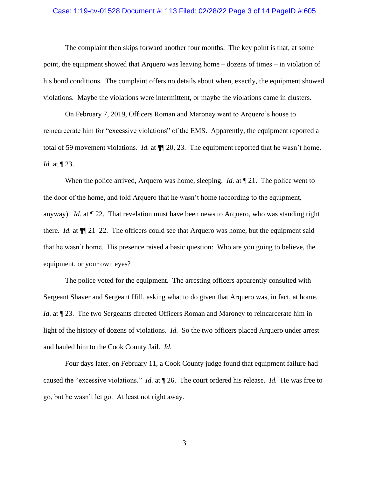#### Case: 1:19-cv-01528 Document #: 113 Filed: 02/28/22 Page 3 of 14 PageID #:605

The complaint then skips forward another four months. The key point is that, at some point, the equipment showed that Arquero was leaving home – dozens of times – in violation of his bond conditions. The complaint offers no details about when, exactly, the equipment showed violations. Maybe the violations were intermittent, or maybe the violations came in clusters.

On February 7, 2019, Officers Roman and Maroney went to Arquero's house to reincarcerate him for "excessive violations" of the EMS. Apparently, the equipment reported a total of 59 movement violations. *Id.* at ¶¶ 20, 23. The equipment reported that he wasn't home. *Id.* at ¶ 23.

When the police arrived, Arquero was home, sleeping. *Id.* at  $\P$  21. The police went to the door of the home, and told Arquero that he wasn't home (according to the equipment, anyway). *Id.* at ¶ 22. That revelation must have been news to Arquero, who was standing right there. *Id.* at ¶¶ 21–22. The officers could see that Arquero was home, but the equipment said that he wasn't home. His presence raised a basic question: Who are you going to believe, the equipment, or your own eyes?

The police voted for the equipment. The arresting officers apparently consulted with Sergeant Shaver and Sergeant Hill, asking what to do given that Arquero was, in fact, at home. *Id.* at  $\P$  23. The two Sergeants directed Officers Roman and Maroney to reincarcerate him in light of the history of dozens of violations. *Id.* So the two officers placed Arquero under arrest and hauled him to the Cook County Jail. *Id.*

Four days later, on February 11, a Cook County judge found that equipment failure had caused the "excessive violations." *Id.* at ¶ 26. The court ordered his release. *Id.* He was free to go, but he wasn't let go. At least not right away.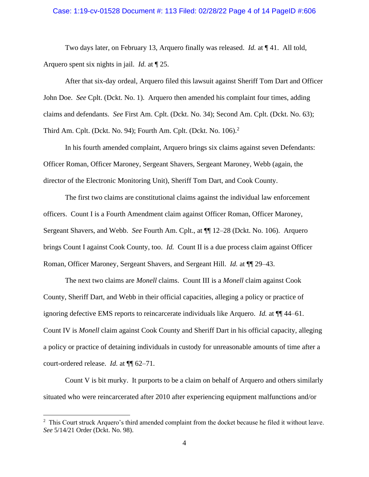### Case: 1:19-cv-01528 Document #: 113 Filed: 02/28/22 Page 4 of 14 PageID #:606

Two days later, on February 13, Arquero finally was released. *Id.* at ¶ 41. All told, Arquero spent six nights in jail. *Id.* at ¶ 25.

After that six-day ordeal, Arquero filed this lawsuit against Sheriff Tom Dart and Officer John Doe. *See* Cplt. (Dckt. No. 1). Arquero then amended his complaint four times, adding claims and defendants. *See* First Am. Cplt. (Dckt. No. 34); Second Am. Cplt. (Dckt. No. 63); Third Am. Cplt. (Dckt. No. 94); Fourth Am. Cplt. (Dckt. No. 106).<sup>2</sup>

In his fourth amended complaint, Arquero brings six claims against seven Defendants: Officer Roman, Officer Maroney, Sergeant Shavers, Sergeant Maroney, Webb (again, the director of the Electronic Monitoring Unit), Sheriff Tom Dart, and Cook County.

The first two claims are constitutional claims against the individual law enforcement officers. Count I is a Fourth Amendment claim against Officer Roman, Officer Maroney, Sergeant Shavers, and Webb. *See* Fourth Am. Cplt., at ¶¶ 12–28 (Dckt. No. 106). Arquero brings Count I against Cook County, too. *Id.* Count II is a due process claim against Officer Roman, Officer Maroney, Sergeant Shavers, and Sergeant Hill. *Id.* at  $\P$  29–43.

The next two claims are *Monell* claims. Count III is a *Monell* claim against Cook County, Sheriff Dart, and Webb in their official capacities, alleging a policy or practice of ignoring defective EMS reports to reincarcerate individuals like Arquero. *Id.* at ¶¶ 44–61. Count IV is *Monell* claim against Cook County and Sheriff Dart in his official capacity, alleging a policy or practice of detaining individuals in custody for unreasonable amounts of time after a court-ordered release. *Id.* at ¶¶ 62–71.

Count V is bit murky. It purports to be a claim on behalf of Arquero and others similarly situated who were reincarcerated after 2010 after experiencing equipment malfunctions and/or

 $2$  This Court struck Arquero's third amended complaint from the docket because he filed it without leave. *See* 5/14/21 Order (Dckt. No. 98).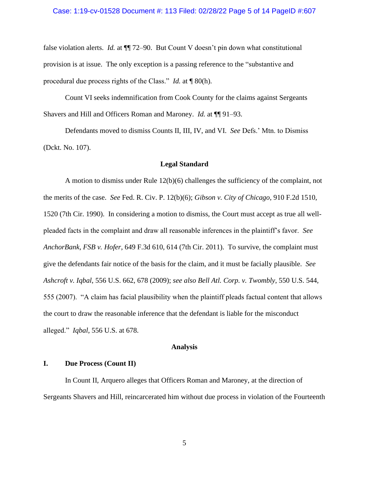#### Case: 1:19-cv-01528 Document #: 113 Filed: 02/28/22 Page 5 of 14 PageID #:607

false violation alerts. *Id.* at  $\P$  72–90. But Count V doesn't pin down what constitutional provision is at issue. The only exception is a passing reference to the "substantive and procedural due process rights of the Class." *Id.* at ¶ 80(h).

Count VI seeks indemnification from Cook County for the claims against Sergeants Shavers and Hill and Officers Roman and Maroney. *Id.* at ¶¶ 91–93.

Defendants moved to dismiss Counts II, III, IV, and VI. *See* Defs.' Mtn. to Dismiss (Dckt. No. 107).

### **Legal Standard**

A motion to dismiss under Rule 12(b)(6) challenges the sufficiency of the complaint, not the merits of the case. *See* Fed. R. Civ. P. 12(b)(6); *Gibson v. City of Chicago*, 910 F.2d 1510, 1520 (7th Cir. 1990). In considering a motion to dismiss, the Court must accept as true all wellpleaded facts in the complaint and draw all reasonable inferences in the plaintiff's favor. *See AnchorBank, FSB v. Hofer*, 649 F.3d 610, 614 (7th Cir. 2011). To survive, the complaint must give the defendants fair notice of the basis for the claim, and it must be facially plausible. *See Ashcroft v. Iqbal*, 556 U.S. 662, 678 (2009); *see also Bell Atl. Corp. v. Twombly*, 550 U.S. 544, 555 (2007). "A claim has facial plausibility when the plaintiff pleads factual content that allows the court to draw the reasonable inference that the defendant is liable for the misconduct alleged." *Iqbal*, 556 U.S. at 678.

#### **Analysis**

# **I. Due Process (Count II)**

In Count II, Arquero alleges that Officers Roman and Maroney, at the direction of Sergeants Shavers and Hill, reincarcerated him without due process in violation of the Fourteenth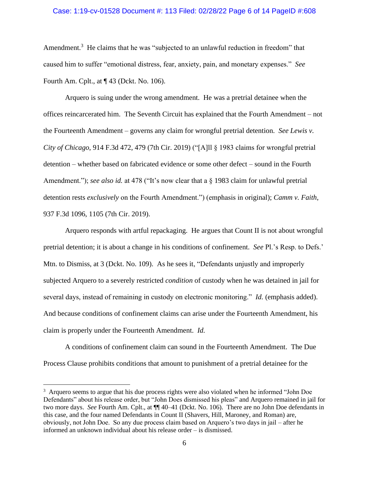### Case: 1:19-cv-01528 Document #: 113 Filed: 02/28/22 Page 6 of 14 PageID #:608

Amendment.<sup>3</sup> He claims that he was "subjected to an unlawful reduction in freedom" that caused him to suffer "emotional distress, fear, anxiety, pain, and monetary expenses." *See*  Fourth Am. Cplt., at ¶ 43 (Dckt. No. 106).

Arquero is suing under the wrong amendment. He was a pretrial detainee when the offices reincarcerated him. The Seventh Circuit has explained that the Fourth Amendment – not the Fourteenth Amendment – governs any claim for wrongful pretrial detention. *See Lewis v. City of Chicago*, 914 F.3d 472, 479 (7th Cir. 2019) ("[A]ll § 1983 claims for wrongful pretrial detention – whether based on fabricated evidence or some other defect – sound in the Fourth Amendment."); *see also id.* at 478 ("It's now clear that a  $\S$  1983 claim for unlawful pretrial detention rests *exclusively* on the Fourth Amendment.") (emphasis in original); *Camm v. Faith*, 937 F.3d 1096, 1105 (7th Cir. 2019).

Arquero responds with artful repackaging. He argues that Count II is not about wrongful pretrial detention; it is about a change in his conditions of confinement. *See* Pl.'s Resp. to Defs.' Mtn. to Dismiss, at 3 (Dckt. No. 109). As he sees it, "Defendants unjustly and improperly subjected Arquero to a severely restricted *condition* of custody when he was detained in jail for several days, instead of remaining in custody on electronic monitoring." *Id.* (emphasis added). And because conditions of confinement claims can arise under the Fourteenth Amendment, his claim is properly under the Fourteenth Amendment. *Id.*

A conditions of confinement claim can sound in the Fourteenth Amendment. The Due Process Clause prohibits conditions that amount to punishment of a pretrial detainee for the

<sup>&</sup>lt;sup>3</sup> Arquero seems to argue that his due process rights were also violated when he informed "John Doe Defendants" about his release order, but "John Does dismissed his pleas" and Arquero remained in jail for two more days. *See* Fourth Am. Cplt., at ¶¶ 40–41 (Dckt. No. 106). There are no John Doe defendants in this case, and the four named Defendants in Count II (Shavers, Hill, Maroney, and Roman) are, obviously, not John Doe. So any due process claim based on Arquero's two days in jail – after he informed an unknown individual about his release order – is dismissed.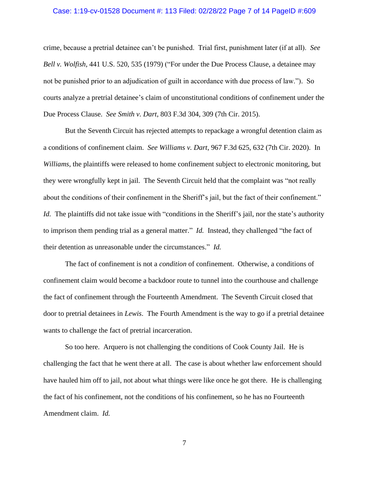### Case: 1:19-cv-01528 Document #: 113 Filed: 02/28/22 Page 7 of 14 PageID #:609

crime, because a pretrial detainee can't be punished. Trial first, punishment later (if at all). *See Bell v. Wolfish*, 441 U.S. 520, 535 (1979) ("For under the Due Process Clause, a detainee may not be punished prior to an adjudication of guilt in accordance with due process of law."). So courts analyze a pretrial detainee's claim of unconstitutional conditions of confinement under the Due Process Clause. *See Smith v. Dart*, 803 F.3d 304, 309 (7th Cir. 2015).

But the Seventh Circuit has rejected attempts to repackage a wrongful detention claim as a conditions of confinement claim. *See Williams v. Dart*, 967 F.3d 625, 632 (7th Cir. 2020). In *Williams*, the plaintiffs were released to home confinement subject to electronic monitoring, but they were wrongfully kept in jail. The Seventh Circuit held that the complaint was "not really about the conditions of their confinement in the Sheriff's jail, but the fact of their confinement." *Id.* The plaintiffs did not take issue with "conditions in the Sheriff's jail, nor the state's authority to imprison them pending trial as a general matter." *Id.* Instead, they challenged "the fact of their detention as unreasonable under the circumstances." *Id.*

The fact of confinement is not a *condition* of confinement. Otherwise, a conditions of confinement claim would become a backdoor route to tunnel into the courthouse and challenge the fact of confinement through the Fourteenth Amendment. The Seventh Circuit closed that door to pretrial detainees in *Lewis*. The Fourth Amendment is the way to go if a pretrial detainee wants to challenge the fact of pretrial incarceration.

So too here. Arquero is not challenging the conditions of Cook County Jail. He is challenging the fact that he went there at all. The case is about whether law enforcement should have hauled him off to jail, not about what things were like once he got there. He is challenging the fact of his confinement, not the conditions of his confinement, so he has no Fourteenth Amendment claim. *Id.*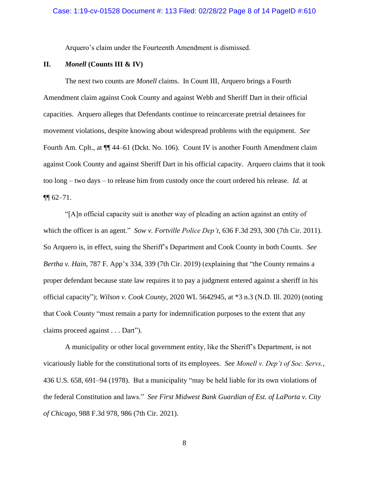Arquero's claim under the Fourteenth Amendment is dismissed.

# **II.** *Monell* **(Counts III & IV)**

The next two counts are *Monell* claims. In Count III, Arquero brings a Fourth Amendment claim against Cook County and against Webb and Sheriff Dart in their official capacities. Arquero alleges that Defendants continue to reincarcerate pretrial detainees for movement violations, despite knowing about widespread problems with the equipment. *See* Fourth Am. Cplt., at ¶¶ 44–61 (Dckt. No. 106). Count IV is another Fourth Amendment claim against Cook County and against Sheriff Dart in his official capacity. Arquero claims that it took too long – two days – to release him from custody once the court ordered his release. *Id.* at  $\P\P$  62–71.

"[A]n official capacity suit is another way of pleading an action against an entity of which the officer is an agent." *Sow v. Fortville Police Dep't*, 636 F.3d 293, 300 (7th Cir. 2011). So Arquero is, in effect, suing the Sheriff's Department and Cook County in both Counts. *See Bertha v. Hain*, 787 F. App'x 334, 339 (7th Cir. 2019) (explaining that "the County remains a proper defendant because state law requires it to pay a judgment entered against a sheriff in his official capacity"); *Wilson v. Cook County*, 2020 WL 5642945, at \*3 n.3 (N.D. Ill. 2020) (noting that Cook County "must remain a party for indemnification purposes to the extent that any claims proceed against . . . Dart").

A municipality or other local government entity, like the Sheriff's Department, is not vicariously liable for the constitutional torts of its employees. *See Monell v. Dep't of Soc. Servs.*, 436 U.S. 658, 691–94 (1978). But a municipality "may be held liable for its own violations of the federal Constitution and laws." *See First Midwest Bank Guardian of Est. of LaPorta v. City of Chicago*, 988 F.3d 978, 986 (7th Cir. 2021).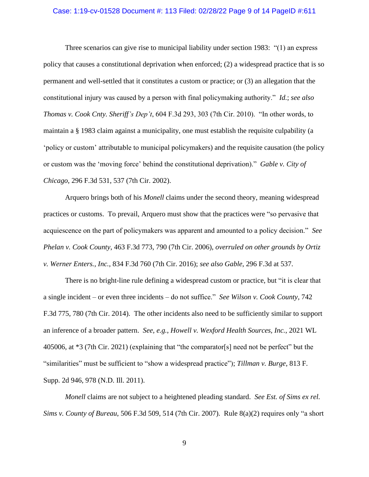#### Case: 1:19-cv-01528 Document #: 113 Filed: 02/28/22 Page 9 of 14 PageID #:611

Three scenarios can give rise to municipal liability under section 1983: "(1) an express policy that causes a constitutional deprivation when enforced; (2) a widespread practice that is so permanent and well-settled that it constitutes a custom or practice; or (3) an allegation that the constitutional injury was caused by a person with final policymaking authority." *Id.*; *see also Thomas v. Cook Cnty. Sheriff's Dep't*, 604 F.3d 293, 303 (7th Cir. 2010). "In other words, to maintain a § 1983 claim against a municipality, one must establish the requisite culpability (a 'policy or custom' attributable to municipal policymakers) and the requisite causation (the policy or custom was the 'moving force' behind the constitutional deprivation)." *Gable v. City of Chicago*, 296 F.3d 531, 537 (7th Cir. 2002).

Arquero brings both of his *Monell* claims under the second theory, meaning widespread practices or customs. To prevail, Arquero must show that the practices were "so pervasive that acquiescence on the part of policymakers was apparent and amounted to a policy decision." *See Phelan v. Cook County*, 463 F.3d 773, 790 (7th Cir. 2006), *overruled on other grounds by Ortiz v. Werner Enters., Inc.*, 834 F.3d 760 (7th Cir. 2016); *see also Gable*, 296 F.3d at 537.

There is no bright-line rule defining a widespread custom or practice, but "it is clear that a single incident – or even three incidents – do not suffice." *See Wilson v. Cook County*, 742 F.3d 775, 780 (7th Cir. 2014). The other incidents also need to be sufficiently similar to support an inference of a broader pattern. *See, e.g.*, *Howell v. Wexford Health Sources, Inc.*, 2021 WL 405006, at \*3 (7th Cir. 2021) (explaining that "the comparator[s] need not be perfect" but the "similarities" must be sufficient to "show a widespread practice"); *Tillman v. Burge*, 813 F. Supp. 2d 946, 978 (N.D. Ill. 2011).

*Monell* claims are not subject to a heightened pleading standard. *See Est. of Sims ex rel. Sims v. County of Bureau*, 506 F.3d 509, 514 (7th Cir. 2007). Rule 8(a)(2) requires only "a short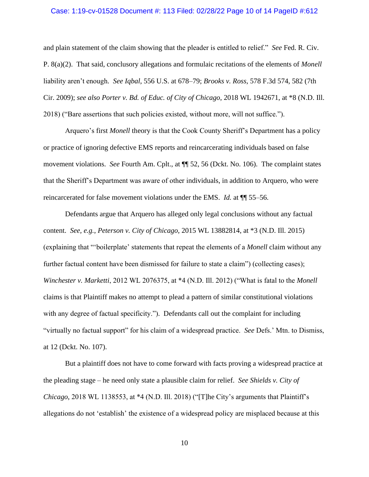#### Case: 1:19-cv-01528 Document #: 113 Filed: 02/28/22 Page 10 of 14 PageID #:612

and plain statement of the claim showing that the pleader is entitled to relief." *See* Fed. R. Civ. P. 8(a)(2). That said, conclusory allegations and formulaic recitations of the elements of *Monell*  liability aren't enough. *See Iqbal*, 556 U.S. at 678–79; *Brooks v. Ross*, 578 F.3d 574, 582 (7th Cir. 2009); *see also Porter v. Bd. of Educ. of City of Chicago*, 2018 WL 1942671, at \*8 (N.D. Ill. 2018) ("Bare assertions that such policies existed, without more, will not suffice.").

Arquero's first *Monell* theory is that the Cook County Sheriff's Department has a policy or practice of ignoring defective EMS reports and reincarcerating individuals based on false movement violations. *See* Fourth Am. Cplt., at ¶¶ 52, 56 (Dckt. No. 106). The complaint states that the Sheriff's Department was aware of other individuals, in addition to Arquero, who were reincarcerated for false movement violations under the EMS. *Id.* at ¶¶ 55–56.

Defendants argue that Arquero has alleged only legal conclusions without any factual content. *See, e.g.*, *Peterson v. City of Chicago*, 2015 WL 13882814, at \*3 (N.D. Ill. 2015) (explaining that "'boilerplate' statements that repeat the elements of a *Monell* claim without any further factual content have been dismissed for failure to state a claim") (collecting cases); *Winchester v. Marketti*, 2012 WL 2076375, at \*4 (N.D. Ill. 2012) ("What is fatal to the *Monell* claims is that Plaintiff makes no attempt to plead a pattern of similar constitutional violations with any degree of factual specificity."). Defendants call out the complaint for including "virtually no factual support" for his claim of a widespread practice. *See* Defs.' Mtn. to Dismiss, at 12 (Dckt. No. 107).

But a plaintiff does not have to come forward with facts proving a widespread practice at the pleading stage – he need only state a plausible claim for relief. *See Shields v. City of Chicago*, 2018 WL 1138553, at \*4 (N.D. Ill. 2018) ("[T]he City's arguments that Plaintiff's allegations do not 'establish' the existence of a widespread policy are misplaced because at this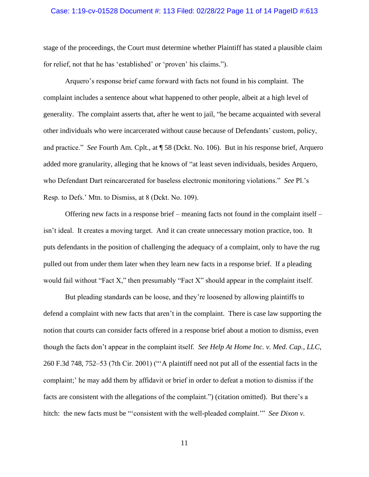#### Case: 1:19-cv-01528 Document #: 113 Filed: 02/28/22 Page 11 of 14 PageID #:613

stage of the proceedings, the Court must determine whether Plaintiff has stated a plausible claim for relief, not that he has 'established' or 'proven' his claims.").

Arquero's response brief came forward with facts not found in his complaint. The complaint includes a sentence about what happened to other people, albeit at a high level of generality. The complaint asserts that, after he went to jail, "he became acquainted with several other individuals who were incarcerated without cause because of Defendants' custom, policy, and practice." *See* Fourth Am. Cplt., at ¶ 58 (Dckt. No. 106). But in his response brief, Arquero added more granularity, alleging that he knows of "at least seven individuals, besides Arquero, who Defendant Dart reincarcerated for baseless electronic monitoring violations." *See* Pl.'s Resp. to Defs.' Mtn. to Dismiss, at 8 (Dckt. No. 109).

Offering new facts in a response brief – meaning facts not found in the complaint itself – isn't ideal. It creates a moving target. And it can create unnecessary motion practice, too. It puts defendants in the position of challenging the adequacy of a complaint, only to have the rug pulled out from under them later when they learn new facts in a response brief. If a pleading would fail without "Fact X," then presumably "Fact X" should appear in the complaint itself.

But pleading standards can be loose, and they're loosened by allowing plaintiffs to defend a complaint with new facts that aren't in the complaint. There is case law supporting the notion that courts can consider facts offered in a response brief about a motion to dismiss, even though the facts don't appear in the complaint itself. *See Help At Home Inc. v. Med. Cap., LLC*, 260 F.3d 748, 752–53 (7th Cir. 2001) ("'A plaintiff need not put all of the essential facts in the complaint;' he may add them by affidavit or brief in order to defeat a motion to dismiss if the facts are consistent with the allegations of the complaint.") (citation omitted). But there's a hitch: the new facts must be "'consistent with the well-pleaded complaint.'" *See Dixon v.*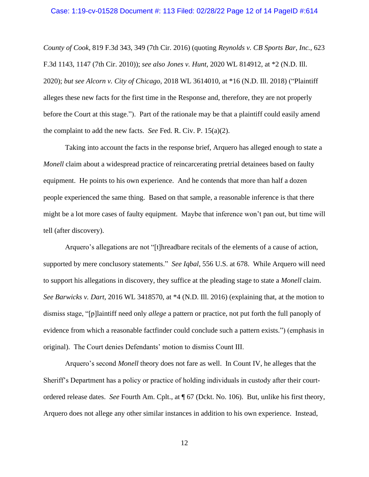#### Case: 1:19-cv-01528 Document #: 113 Filed: 02/28/22 Page 12 of 14 PageID #:614

*County of Cook*, 819 F.3d 343, 349 (7th Cir. 2016) (quoting *Reynolds v. CB Sports Bar, Inc.*, 623 F.3d 1143, 1147 (7th Cir. 2010)); *see also Jones v. Hunt*, 2020 WL 814912, at \*2 (N.D. Ill. 2020); *but see Alcorn v. City of Chicago*, 2018 WL 3614010, at \*16 (N.D. Ill. 2018) ("Plaintiff alleges these new facts for the first time in the Response and, therefore, they are not properly before the Court at this stage."). Part of the rationale may be that a plaintiff could easily amend the complaint to add the new facts. *See* Fed. R. Civ. P. 15(a)(2).

Taking into account the facts in the response brief, Arquero has alleged enough to state a *Monell* claim about a widespread practice of reincarcerating pretrial detainees based on faulty equipment. He points to his own experience. And he contends that more than half a dozen people experienced the same thing. Based on that sample, a reasonable inference is that there might be a lot more cases of faulty equipment. Maybe that inference won't pan out, but time will tell (after discovery).

Arquero's allegations are not "[t]hreadbare recitals of the elements of a cause of action, supported by mere conclusory statements." *See Iqbal*, 556 U.S. at 678. While Arquero will need to support his allegations in discovery, they suffice at the pleading stage to state a *Monell* claim. *See Barwicks v. Dart*, 2016 WL 3418570, at \*4 (N.D. Ill. 2016) (explaining that, at the motion to dismiss stage, "[p]laintiff need only *allege* a pattern or practice, not put forth the full panoply of evidence from which a reasonable factfinder could conclude such a pattern exists.") (emphasis in original). The Court denies Defendants' motion to dismiss Count III.

Arquero's second *Monell* theory does not fare as well. In Count IV, he alleges that the Sheriff's Department has a policy or practice of holding individuals in custody after their courtordered release dates. *See* Fourth Am. Cplt., at ¶ 67 (Dckt. No. 106). But, unlike his first theory, Arquero does not allege any other similar instances in addition to his own experience. Instead,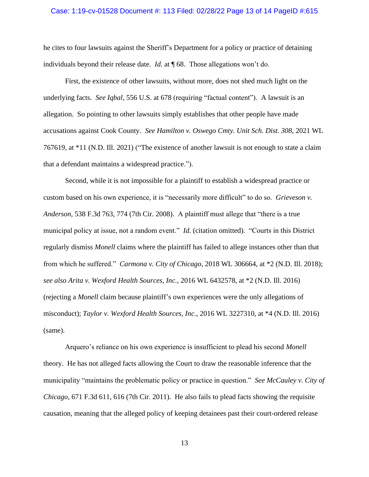#### Case: 1:19-cv-01528 Document #: 113 Filed: 02/28/22 Page 13 of 14 PageID #:615

he cites to four lawsuits against the Sheriff's Department for a policy or practice of detaining individuals beyond their release date. *Id.* at ¶ 68. Those allegations won't do.

First, the existence of other lawsuits, without more, does not shed much light on the underlying facts. *See Iqbal*, 556 U.S. at 678 (requiring "factual content"). A lawsuit is an allegation. So pointing to other lawsuits simply establishes that other people have made accusations against Cook County. *See Hamilton v. Oswego Cmty. Unit Sch. Dist. 308*, 2021 WL 767619, at \*11 (N.D. Ill. 2021) ("The existence of another lawsuit is not enough to state a claim that a defendant maintains a widespread practice.").

Second, while it is not impossible for a plaintiff to establish a widespread practice or custom based on his own experience, it is "necessarily more difficult" to do so. *Grieveson v. Anderson*, 538 F.3d 763, 774 (7th Cir. 2008). A plaintiff must allege that "there is a true municipal policy at issue, not a random event." *Id.* (citation omitted). "Courts in this District regularly dismiss *Monell* claims where the plaintiff has failed to allege instances other than that from which he suffered." *Carmona v. City of Chicago*, 2018 WL 306664, at \*2 (N.D. Ill. 2018); *see also Arita v. Wexford Health Sources, Inc.*, 2016 WL 6432578, at \*2 (N.D. Ill. 2016) (rejecting a *Monell* claim because plaintiff's own experiences were the only allegations of misconduct); *Taylor v. Wexford Health Sources, Inc.*, 2016 WL 3227310, at \*4 (N.D. Ill. 2016) (same).

Arquero's reliance on his own experience is insufficient to plead his second *Monell* theory. He has not alleged facts allowing the Court to draw the reasonable inference that the municipality "maintains the problematic policy or practice in question." *See McCauley v. City of Chicago*, 671 F.3d 611, 616 (7th Cir. 2011). He also fails to plead facts showing the requisite causation, meaning that the alleged policy of keeping detainees past their court-ordered release